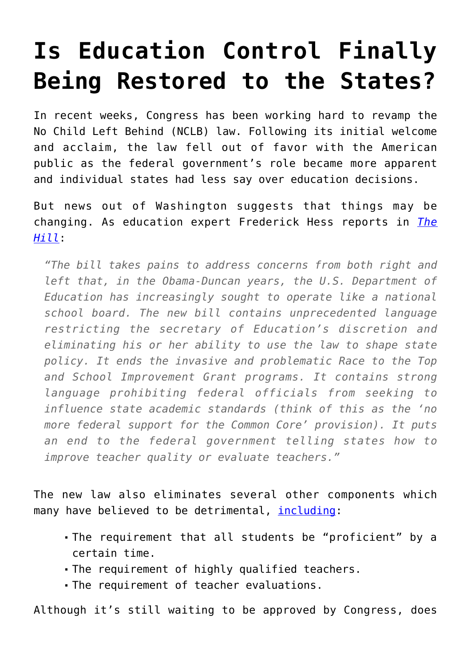## **[Is Education Control Finally](https://intellectualtakeout.org/2015/11/is-education-control-finally-being-restored-to-the-states/) [Being Restored to the States?](https://intellectualtakeout.org/2015/11/is-education-control-finally-being-restored-to-the-states/)**

In recent weeks, Congress has been working hard to revamp the No Child Left Behind (NCLB) law. Following its initial welcome and acclaim, the law fell out of favor with the American public as the federal government's role became more apparent and individual states had less say over education decisions.

But news out of Washington suggests that things may be changing. As education expert Frederick Hess reports in *[The](http://thehill.com/blogs/pundits-blog/education/260718-nclb-agreement-would-overhaul-uncle-sams-role-in-schooling) [Hill](http://thehill.com/blogs/pundits-blog/education/260718-nclb-agreement-would-overhaul-uncle-sams-role-in-schooling)*:

*"The bill takes pains to address concerns from both right and left that, in the Obama-Duncan years, the U.S. Department of Education has increasingly sought to operate like a national school board. The new bill contains unprecedented language restricting the secretary of Education's discretion and eliminating his or her ability to use the law to shape state policy. It ends the invasive and problematic Race to the Top and School Improvement Grant programs. It contains strong language prohibiting federal officials from seeking to influence state academic standards (think of this as the 'no more federal support for the Common Core' provision). It puts an end to the federal government telling states how to improve teacher quality or evaluate teachers."*

The new law also eliminates several other components which many have believed to be detrimental, [including](http://edexcellence.net/articles/the-new-esea-in-a-single-table):

- The requirement that all students be "proficient" by a certain time.
- The requirement of highly qualified teachers.
- The requirement of teacher evaluations.

Although it's still waiting to be approved by Congress, does